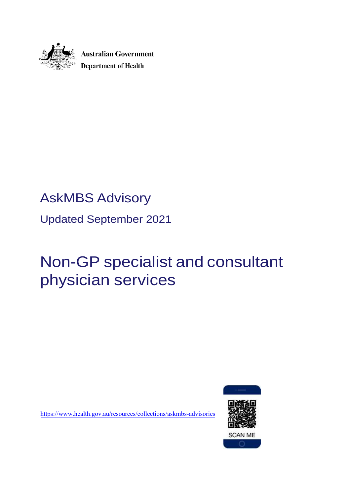

# AskMBS Advisory

Updated September 2021

## Non-GP specialist and consultant physician services

htt[ps://www.health.gov.au/resources/collections/askm](http://www.health.gov.au/askmbs-email-advice-service)bs-advisories

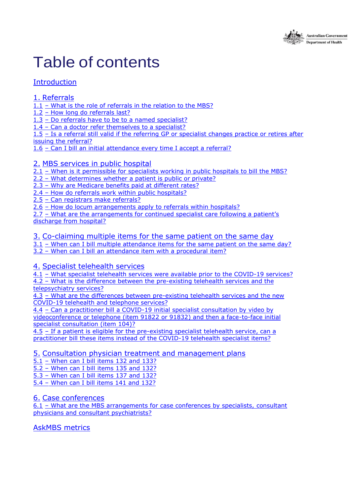

# Table of contents

### [Introduction](#page-2-0)

#### 1. [Referrals](#page-3-0)

1.1 – What is the role of referrals in the relation to [the MBS?](#page-3-0)

1.2 – How long do [referrals](#page-4-0) last?

1.3 – [Do referrals have to be to a named specialist?](#page-4-1)

1.4 – Can a doctor [refer themselves](#page-5-0) to a specialist?

1.5 – [Is a referral still valid if the referring GP or specialist changes practice or retires after](#page-5-0)

issuing the [referral?](#page-5-0)

1.6 – Can I bill an initial [attendance](#page-5-1) every time I accept a referral?

#### 2. MBS services [in public](#page-7-0) hospital

2.1 – [When is it permissible for specialists working in public hospitals to bill the MBS?](#page-7-1)

2.2 – What [determines](#page-7-2) whether a patient is public or private?

2.3 – [Why are Medicare benefits paid at different rates?](#page-8-0)

2.4 – How do referrals work within public [hospitals?](#page-8-1)

2.5 – [Can registrars](#page-8-2) make referrals?

2.6 – How do locum [arrangements](#page-9-0) apply to referrals within hospitals?

2.7 – [What are the arrangements for continued specialist care following a patient's](#page-9-1) [discharge](#page-9-1) from hospital?

#### 3. [Co-claiming](#page-10-0) multiple items for the same patient on the same day

3.1 – [When can I bill multiple attendance items for the same patient on the same day?](#page-10-0) 3.2 – When can I bill an [attendance](#page-10-1) item with a procedural item?

#### 4. Specialist [telehealth](#page-12-0) services

4.1 - [What specialist telehealth services were available prior to the COVID-19 services?](#page-12-0) 4.2 – [What is the difference between the pre-existing telehealth services and the](#page-13-0) [telepsychiatry services?](#page-13-0)

4.3 – [What are the differences between pre-existing telehealth services and the new](#page-13-1) COVID-19 [telehealth and telephone services?](#page-13-1)

4.4 – [Can a practitioner bill a COVID-19 initial specialist consultation by video by](#page-14-0) [videoconference or telephone \(item 91822 or 91832\) and then a face-to-face initial](#page-14-0) [specialist consultation \(item 104\)?](#page-14-0)

4.5 – [If a patient is eligible for the pre-existing specialist telehealth service, can a](#page-14-1) [practitioner bill these items instead of the COVID-19](#page-14-1) telehealth specialist items?

#### 5. Consultation physician treatment and [management](#page-16-0) plans

5.1 – [When can I bill items 132 and 133?](#page-16-0) 

5.2 – [When can I bill items 135 and 132?](#page-16-1) 

5.3 – [When can I bill items 137 and 132?](#page-17-0)

5.4 – [When can I bill items 141 and 132?](#page-17-1) 

#### 6. Case [conferences](#page-19-0)

6.1 – [What are the MBS arrangements for case conferences by specialists, consultant](#page-19-1) physicians [and consultant psychiatrists?](#page-19-1)

[AskMBS](#page-17-1) metrics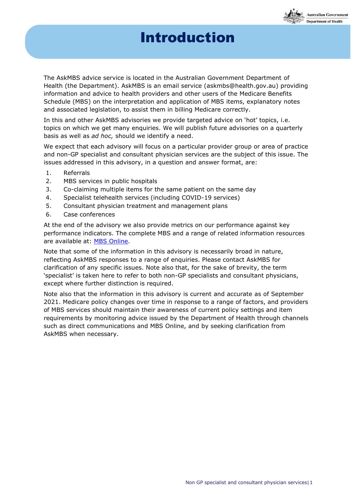## Introduction

**Australian Government** epartment of Health

<span id="page-2-0"></span>The AskMBS advice service is located in the Australian Government Department of Health (the Department). AskMBS is an email service [\(askmbs@health.gov.au\)](mailto:askmbs@health.gov.au) providing information and advice to health providers and other users of the Medicare Benefits Schedule (MBS) on the interpretation and application of MBS items, explanatory notes and associated legislation, to assist them in billing Medicare correctly.

In this and other AskMBS advisories we provide targeted advice on 'hot' topics, i.e. topics on which we get many enquiries. We will publish future advisories on a quarterly basis as well as *ad hoc,* should we identify a need.

We expect that each advisory will focus on a particular provider group or area of practice and non-GP specialist and consultant physician services are the subject of this issue. The issues addressed in this advisory, in a question and answer format, are:

- 1. Referrals
- 2. MBS services in public hospitals
- 3. Co-claiming multiple items for the same patient on the same day
- 4. Specialist telehealth services (including COVID-19 services)
- 5. Consultant physician treatment and management plans
- 6. Case conferences

At the end of the advisory we also provide metrics on our performance against key performance indicators. The complete MBS and a range of related information resources are available at: [MBS Online.](http://www.mbsonline.gov.au/)

Note that some of the information in this advisory is necessarily broad in nature, reflecting AskMBS responses to a range of enquiries. Please contact AskMBS for clarification of any specific issues. Note also that, for the sake of brevity, the term 'specialist' is taken here to refer to both non-GP specialists and consultant physicians, except where further distinction is required.

Note also that the information in this advisory is current and accurate as of September 2021. Medicare policy changes over time in response to a range of factors, and providers of MBS services should maintain their awareness of current policy settings and item requirements by monitoring advice issued by the Department of Health through channels such as direct communications and MBS Online, and by seeking clarification from AskMBS when necessary.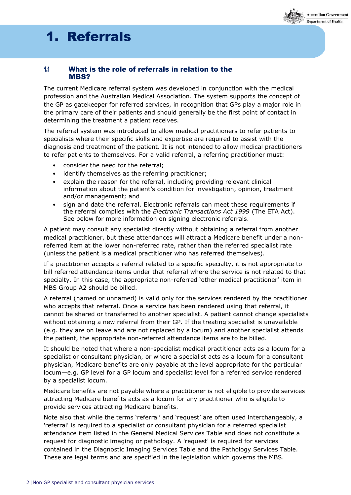

### 1. Referrals 1. Referrals

#### <span id="page-3-0"></span>1.1 What is the role of referrals in relation to the MRS?

The current Medicare referral system was developed in conjunction with the medical profession and the Australian Medical Association. The system supports the concept of the GP as gatekeeper for referred services, in recognition that GPs play a major role in the primary care of their patients and should generally be the first point of contact in determining the treatment a patient receives.

The referral system was introduced to allow medical practitioners to refer patients to specialists where their specific skills and expertise are required to assist with the diagnosis and treatment of the patient. It is not intended to allow medical practitioners to refer patients to themselves. For a valid referral, a referring practitioner must:

- consider the need for the referral;
- identify themselves as the referring practitioner;
- explain the reason for the referral, including providing relevant clinical information about the patient's condition for investigation, opinion, treatment and/or management; and
- sign and date the referral. Electronic referrals can meet these requirements if the referral complies with the *Electronic Transactions Act 1999* (The ETA Act). See below for more information on signing electronic referrals.

A patient may consult any specialist directly without obtaining a referral from another medical practitioner, but these attendances will attract a Medicare benefit under a nonreferred item at the lower non-referred rate, rather than the referred specialist rate (unless the patient is a medical practitioner who has referred themselves).

If a practitioner accepts a referral related to a specific specialty, it is not appropriate to bill referred attendance items under that referral where the service is not related to that specialty. In this case, the appropriate non-referred 'other medical practitioner' item in MBS Group A2 should be billed.

A referral (named or unnamed) is valid only for the services rendered by the practitioner who accepts that referral. Once a service has been rendered using that referral, it cannot be shared or transferred to another specialist. A patient cannot change specialists without obtaining a new referral from their GP. If the treating specialist is unavailable (e.g. they are on leave and are not replaced by a locum) and another specialist attends the patient, the appropriate non-referred attendance items are to be billed.

It should be noted that where a non-specialist medical practitioner acts as a locum for a specialist or consultant physician, or where a specialist acts as a locum for a consultant physician, Medicare benefits are only payable at the level appropriate for the particular locum—e.g. GP level for a GP locum and specialist level for a referred service rendered by a specialist locum.

Medicare benefits are not payable where a practitioner is not eligible to provide services attracting Medicare benefits acts as a locum for any practitioner who is eligible to provide services attracting Medicare benefits.

Note also that while the terms 'referral' and 'request' are often used interchangeably, a 'referral' is required to a specialist or consultant physician for a referred specialist attendance item listed in the General Medical Services Table and does not constitute a request for diagnostic imaging or pathology. A 'request' is required for services contained in the Diagnostic Imaging Services Table and the Pathology Services Table. These are legal terms and are specified in the legislation which governs the MBS.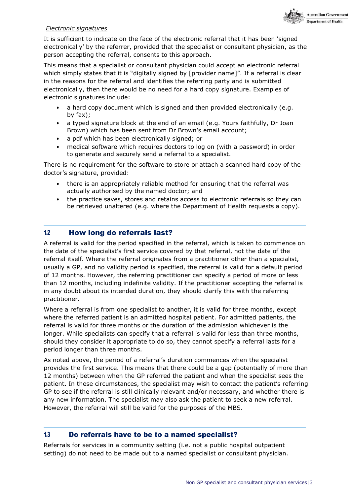

#### *Electronic signatures*

It is sufficient to indicate on the face of the electronic referral that it has been 'signed electronically' by the referrer, provided that the specialist or consultant physician, as the person accepting the referral, consents to this approach.

This means that a specialist or consultant physician could accept an electronic referral which simply states that it is "digitally signed by [provider name]". If a referral is clear in the reasons for the referral and identifies the referring party and is submitted electronically, then there would be no need for a hard copy signature. Examples of electronic signatures include:

- a hard copy document which is signed and then provided electronically (e.g. by fax);
- a typed signature block at the end of an email (e.g. Yours faithfully, Dr Joan Brown) which has been sent from Dr Brown's email account;
- a pdf which has been electronically signed; or
- medical software which requires doctors to log on (with a password) in order to generate and securely send a referral to a specialist.

There is no requirement for the software to store or attach a scanned hard copy of the doctor's signature, provided:

- there is an appropriately reliable method for ensuring that the referral was actually authorised by the named doctor; and
- the practice saves, stores and retains access to electronic referrals so they can be retrieved unaltered (e.g. where the Department of Health requests a copy).

#### <span id="page-4-0"></span>1.2 How long do referrals last?

A referral is valid for the period specified in the referral, which is taken to commence on the date of the specialist's first service covered by that referral, not the date of the referral itself. Where the referral originates from a practitioner other than a specialist, usually a GP, and no validity period is specified, the referral is valid for a default period of 12 months. However, the referring practitioner can specify a period of more or less than 12 months, including indefinite validity. If the practitioner accepting the referral is in any doubt about its intended duration, they should clarify this with the referring practitioner.

Where a referral is from one specialist to another, it is valid for three months, except where the referred patient is an admitted hospital patient. For admitted patients, the referral is valid for three months or the duration of the admission whichever is the longer. While specialists can specify that a referral is valid for less than three months, should they consider it appropriate to do so, they cannot specify a referral lasts for a period longer than three months.

As noted above, the period of a referral's duration commences when the specialist provides the first service. This means that there could be a gap (potentially of more than 12 months) between when the GP referred the patient and when the specialist sees the patient. In these circumstances, the specialist may wish to contact the patient's referring GP to see if the referral is still clinically relevant and/or necessary, and whether there is any new information. The specialist may also ask the patient to seek a new referral. However, the referral will still be valid for the purposes of the MBS.

#### <span id="page-4-1"></span>1.3 Do referrals have to be to a named specialist?

Referrals for services in a community setting (i.e. not a public hospital outpatient setting) do not need to be made out to a named specialist or consultant physician.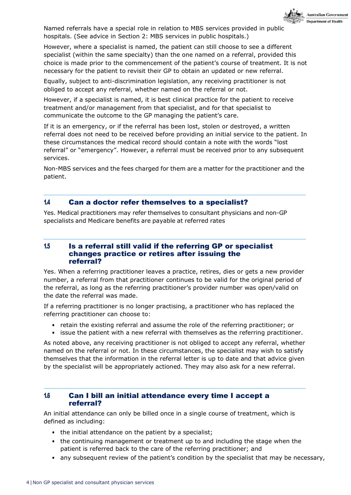

<span id="page-5-0"></span>Named referrals have a special role in relation to MBS services provided in public hospitals. (See advice in Section 2: MBS services in public hospitals.)

However, where a specialist is named, the patient can still choose to see a different specialist (within the same specialty) than the one named on a referral, provided this choice is made prior to the commencement of the patient's course of treatment. It is not necessary for the patient to revisit their GP to obtain an updated or new referral.

Equally, subject to anti-discrimination legislation, any receiving practitioner is not obliged to accept any referral, whether named on the referral or not.

However, if a specialist is named, it is best clinical practice for the patient to receive treatment and/or management from that specialist, and for that specialist to communicate the outcome to the GP managing the patient's care.

If it is an emergency, or if the referral has been lost, stolen or destroyed, a written referral does not need to be received before providing an initial service to the patient. In these circumstances the medical record should contain a note with the words "lost referral" or "emergency". However, a referral must be received prior to any subsequent services.

Non-MBS services and the fees charged for them are a matter for the practitioner and the patient.

#### 1.4 Can a doctor refer themselves to a specialist?

Yes. Medical practitioners may refer themselves to consultant physicians and non-GP specialists and Medicare benefits are payable at referred rates

#### 1.5 Is a referral still valid if the referring GP or specialist changes practice or retires after issuing the referral?

Yes. When a referring practitioner leaves a practice, retires, dies or gets a new provider number, a referral from that practitioner continues to be valid for the original period of the referral, as long as the referring practitioner's provider number was open/valid on the date the referral was made.

If a referring practitioner is no longer practising, a practitioner who has replaced the referring practitioner can choose to:

- retain the existing referral and assume the role of the referring practitioner; or
- issue the patient with a new referral with themselves as the referring practitioner.

As noted above, any receiving practitioner is not obliged to accept any referral, whether named on the referral or not. In these circumstances, the specialist may wish to satisfy themselves that the information in the referral letter is up to date and that advice given by the specialist will be appropriately actioned. They may also ask for a new referral.

#### <span id="page-5-1"></span>1.6 Can I bill an initial attendance every time I accept a referral?

An initial attendance can only be billed once in a single course of treatment, which is defined as including:

- the initial attendance on the patient by a specialist;
- the continuing management or treatment up to and including the stage when the patient is referred back to the care of the referring practitioner; and
- any subsequent review of the patient's condition by the specialist that may be necessary,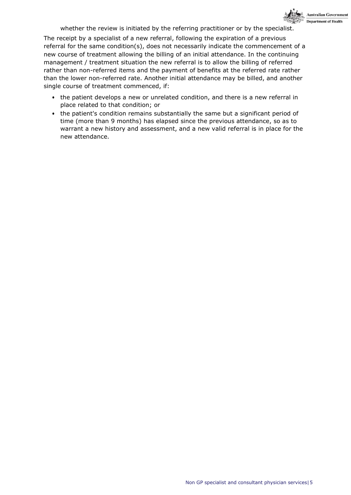

whether the review is initiated by the referring practitioner or by the specialist.

The receipt by a specialist of a new referral, following the expiration of a previous referral for the same condition(s), does not necessarily indicate the commencement of a new course of treatment allowing the billing of an initial attendance. In the continuing management / treatment situation the new referral is to allow the billing of referred rather than non-referred items and the payment of benefits at the referred rate rather than the lower non-referred rate. Another initial attendance may be billed, and another single course of treatment commenced, if:

- the patient develops a new or unrelated condition, and there is a new referral in place related to that condition; or
- the patient's condition remains substantially the same but a significant period of time (more than 9 months) has elapsed since the previous attendance, so as to warrant a new history and assessment, and a new valid referral is in place for the new attendance.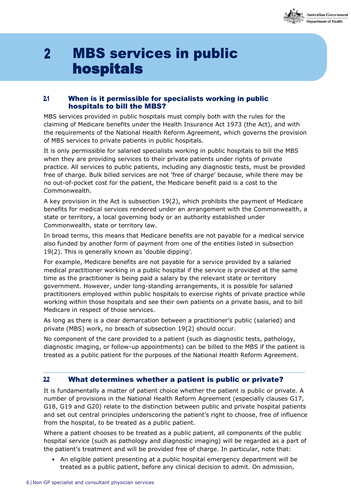

## <span id="page-7-1"></span><span id="page-7-0"></span> $2<sup>1</sup>$ **MBS services in public** hospitals

#### 2.1 When is it permissible for specialists working in public hospitals to bill the MBS?

MBS services provided in public hospitals must comply both with the rules for the claiming of Medicare benefits under the Health Insurance Act 1973 (the Act), and with the requirements of the National Health Reform Agreement, which governs the provision of MBS services to private patients in public hospitals.

It is only permissible for salaried specialists working in public hospitals to bill the MBS when they are providing services to their private patients under rights of private practice. All services to public patients, including any diagnostic tests, must be provided free of charge. Bulk billed services are not 'free of charge' because, while there may be no out-of-pocket cost for the patient, the Medicare benefit paid is a cost to the Commonwealth.

A key provision in the Act is subsection 19(2), which prohibits the payment of Medicare benefits for medical services rendered under an arrangement with the Commonwealth, a state or territory, a local governing body or an authority established under Commonwealth, state or territory law.

In broad terms, this means that Medicare benefits are not payable for a medical service also funded by another form of payment from one of the entities listed in subsection 19(2). This is generally known as 'double dipping'.

For example, Medicare benefits are not payable for a service provided by a salaried medical practitioner working in a public hospital if the service is provided at the same time as the practitioner is being paid a salary by the relevant state or territory government. However, under long-standing arrangements, it is possible for salaried practitioners employed within public hospitals to exercise rights of private practice while working within those hospitals and see their own patients on a private basis, and to bill Medicare in respect of those services.

As long as there is a clear demarcation between a practitioner's public (salaried) and private (MBS) work, no breach of subsection 19(2) should occur.

No component of the care provided to a patient (such as diagnostic tests, pathology, diagnostic imaging, or follow-up appointments) can be billed to the MBS if the patient is treated as a public patient for the purposes of the National Health Reform Agreement.

#### <span id="page-7-2"></span>2.2 What determines whether a patient is public or private?

It is fundamentally a matter of patient choice whether the patient is public or private. A number of provisions in the National Health Reform Agreement (especially clauses G17, G18, G19 and G20) relate to the distinction between public and private hospital patients and set out central principles underscoring the patient's right to choose, free of influence from the hospital, to be treated as a public patient.

Where a patient chooses to be treated as a public patient, all components of the public hospital service (such as pathology and diagnostic imaging) will be regarded as a part of the patient's treatment and will be provided free of charge. In particular, note that:

• An eligible patient presenting at a public hospital emergency department will be treated as a public patient, before any clinical decision to admit. On admission,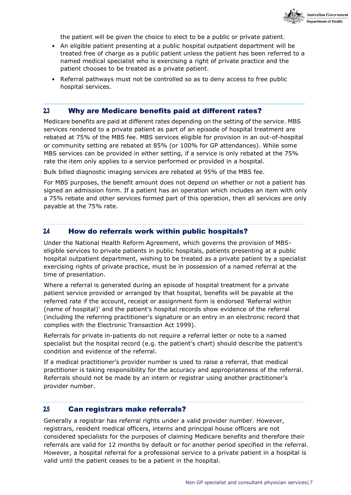

the patient will be given the choice to elect to be a public or private patient.

- An eligible patient presenting at a public hospital outpatient department will be treated free of charge as a public patient unless the patient has been referred to a named medical specialist who is exercising a right of private practice and the patient chooses to be treated as a private patient.
- Referral pathways must not be controlled so as to deny access to free public hospital services.

#### <span id="page-8-0"></span>2.3 Why are Medicare benefits paid at different rates?

Medicare benefits are paid at different rates depending on the setting of the service. MBS services rendered to a private patient as part of an episode of hospital treatment are rebated at 75% of the MBS fee. MBS services eligible for provision in an out-of-hospital or community setting are rebated at 85% (or 100% for GP attendances). While some MBS services can be provided in either setting, if a service is only rebated at the 75% rate the item only applies to a service performed or provided in a hospital.

Bulk billed diagnostic imaging services are rebated at 95% of the MBS fee.

For MBS purposes, the benefit amount does not depend on whether or not a patient has signed an admission form. If a patient has an operation which includes an item with only a 75% rebate and other services formed part of this operation, then all services are only payable at the 75% rate.

#### <span id="page-8-1"></span>2.4 How do referrals work within public hospitals?

Under the National Health Reform Agreement, which governs the provision of MBSeligible services to private patients in public hospitals, patients presenting at a public hospital outpatient department, wishing to be treated as a private patient by a specialist exercising rights of private practice, must be in possession of a named referral at the time of presentation.

Where a referral is generated during an episode of hospital treatment for a private patient service provided or arranged by that hospital, benefits will be payable at the referred rate if the account, receipt or assignment form is endorsed 'Referral within (name of hospital)' and the patient's hospital records show evidence of the referral (including the referring practitioner's signature or an entry in an electronic record that complies with the Electronic Transaction Act 1999).

Referrals for private in-patients do not require a referral letter or note to a named specialist but the hospital record (e.g. the patient's chart) should describe the patient's condition and evidence of the referral.

If a medical practitioner's provider number is used to raise a referral, that medical practitioner is taking responsibility for the accuracy and appropriateness of the referral. Referrals should not be made by an intern or registrar using another practitioner's provider number.

#### <span id="page-8-2"></span>2.5 Can registrars make referrals?

Generally a registrar has referral rights under a valid provider number. However, registrars, resident medical officers, interns and principal house officers are not considered specialists for the purposes of claiming Medicare benefits and therefore their referrals are valid for 12 months by default or for another period specified in the referral. However, a hospital referral for a professional service to a private patient in a hospital is valid until the patient ceases to be a patient in the hospital.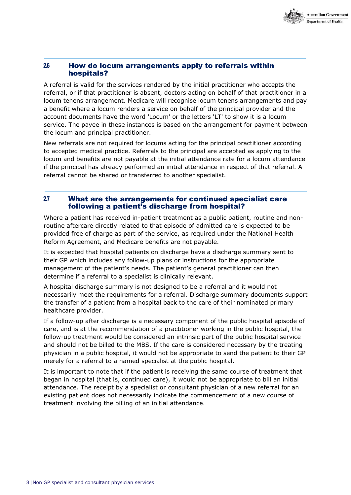

#### <span id="page-9-0"></span>2.6 How do locum arrangements apply to referrals within hospitals?

A referral is valid for the services rendered by the initial practitioner who accepts the referral, or if that practitioner is absent, doctors acting on behalf of that practitioner in a locum tenens arrangement. Medicare will recognise locum tenens arrangements and pay a benefit where a locum renders a service on behalf of the principal provider and the account documents have the word 'Locum' or the letters 'LT' to show it is a locum service. The payee in these instances is based on the arrangement for payment between the locum and principal practitioner.

New referrals are not required for locums acting for the principal practitioner according to accepted medical practice. Referrals to the principal are accepted as applying to the locum and benefits are not payable at the initial attendance rate for a locum attendance if the principal has already performed an initial attendance in respect of that referral. A referral cannot be shared or transferred to another specialist.

#### <span id="page-9-1"></span>2.7 What are the arrangements for continued specialist care following a patient's discharge from hospital?

Where a patient has received in-patient treatment as a public patient, routine and nonroutine aftercare directly related to that episode of admitted care is expected to be provided free of charge as part of the service, as required under the National Health Reform Agreement, and Medicare benefits are not payable.

It is expected that hospital patients on discharge have a discharge summary sent to their GP which includes any follow-up plans or instructions for the appropriate management of the patient's needs. The patient's general practitioner can then determine if a referral to a specialist is clinically relevant.

A hospital discharge summary is not designed to be a referral and it would not necessarily meet the requirements for a referral. Discharge summary documents support the transfer of a patient from a hospital back to the care of their nominated primary healthcare provider.

If a follow-up after discharge is a necessary component of the public hospital episode of care, and is at the recommendation of a practitioner working in the public hospital, the follow-up treatment would be considered an intrinsic part of the public hospital service and should not be billed to the MBS. If the care is considered necessary by the treating physician in a public hospital, it would not be appropriate to send the patient to their GP merely for a referral to a named specialist at the public hospital.

It is important to note that if the patient is receiving the same course of treatment that began in hospital (that is, continued care), it would not be appropriate to bill an initial attendance. The receipt by a specialist or consultant physician of a new referral for an existing patient does not necessarily indicate the commencement of a new course of treatment involving the billing of an initial attendance.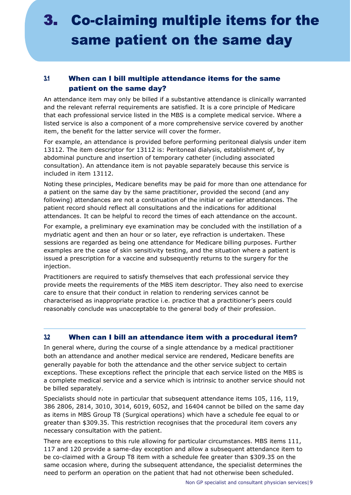## 3. Co-claiming multiple items for the same patient on the same day

### <span id="page-10-0"></span>3.1 When can I bill multiple attendance items for the same patient on the same day?

An attendance item may only be billed if a substantive attendance is clinically warranted and the relevant referral requirements are satisfied. It is a core principle of Medicare that each professional service listed in the MBS is a complete medical service. Where a listed service is also a component of a more comprehensive service covered by another item, the benefit for the latter service will cover the former.

For example, an attendance is provided before performing peritoneal dialysis under item 13112. The item descriptor for 13112 is: Peritoneal dialysis, establishment of, by abdominal puncture and insertion of temporary catheter (including associated consultation). An attendance item is not payable separately because this service is included in item 13112.

Noting these principles, Medicare benefits may be paid for more than one attendance for a patient on the same day by the same practitioner, provided the second (and any following) attendances are not a continuation of the initial or earlier attendances. The patient record should reflect all consultations and the indications for additional attendances. It can be helpful to record the times of each attendance on the account.

For example, a preliminary eye examination may be concluded with the instillation of a mydriatic agent and then an hour or so later, eye refraction is undertaken. These sessions are regarded as being one attendance for Medicare billing purposes. Further examples are the case of skin sensitivity testing, and the situation where a patient is issued a prescription for a vaccine and subsequently returns to the surgery for the injection.

Practitioners are required to satisfy themselves that each professional service they provide meets the requirements of the MBS item descriptor. They also need to exercise care to ensure that their conduct in relation to rendering services cannot be characterised as inappropriate practice i.e. practice that a practitioner's peers could reasonably conclude was unacceptable to the general body of their profession.

### <span id="page-10-1"></span>3.2 When can I bill an attendance item with a procedural item?

In general where, during the course of a single attendance by a medical practitioner both an attendance and another medical service are rendered, Medicare benefits are generally payable for both the attendance and the other service subject to certain exceptions. These exceptions reflect the principle that each service listed on the MBS is a complete medical service and a service which is intrinsic to another service should not be billed separately.

Specialists should note in particular that subsequent attendance items 105, 116, 119, 386 2806, 2814, 3010, 3014, 6019, 6052, and 16404 cannot be billed on the same day as items in MBS Group T8 (Surgical operations) which have a schedule fee equal to or greater than \$309.35. This restriction recognises that the procedural item covers any necessary consultation with the patient.

There are exceptions to this rule allowing for particular circumstances. MBS items 111, 117 and 120 provide a same-day exception and allow a subsequent attendance item to be co-claimed with a Group T8 item with a schedule fee greater than \$309.35 on the same occasion where, during the subsequent attendance, the specialist determines the need to perform an operation on the patient that had not otherwise been scheduled.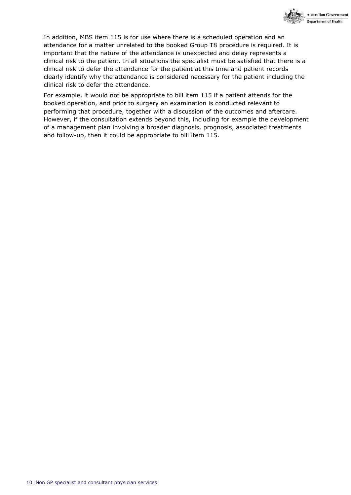

In addition, MBS item 115 is for use where there is a scheduled operation and an attendance for a matter unrelated to the booked Group T8 procedure is required. It is important that the nature of the attendance is unexpected and delay represents a clinical risk to the patient. In all situations the specialist must be satisfied that there is a clinical risk to defer the attendance for the patient at this time and patient records clearly identify why the attendance is considered necessary for the patient including the clinical risk to defer the attendance.

For example, it would not be appropriate to bill item 115 if a patient attends for the booked operation, and prior to surgery an examination is conducted relevant to performing that procedure, together with a discussion of the outcomes and aftercare. However, if the consultation extends beyond this, including for example the development of a management plan involving a broader diagnosis, prognosis, associated treatments and follow-up, then it could be appropriate to bill item 115.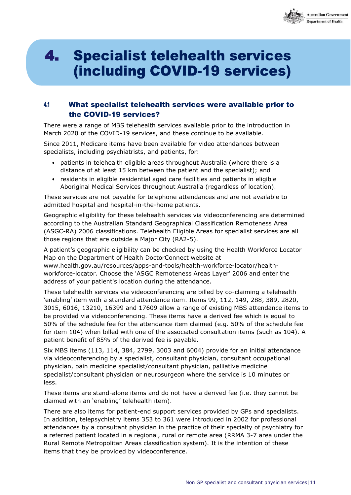

## 4. **Specialist telehealth services** (including COVID-19 services)

#### <span id="page-12-0"></span>4.1 What specialist telehealth services were available prior to the COVID-19 services?

There were a range of MBS telehealth services available prior to the introduction in March 2020 of the COVID-19 services, and these continue to be available.

Since 2011, Medicare items have been available for video attendances between specialists, including psychiatrists, and patients, for:

- patients in telehealth eligible areas throughout Australia (where there is a distance of at least 15 km between the patient and the specialist); and
- residents in eligible residential aged care facilities and patients in eligible Aboriginal Medical Services throughout Australia (regardless of location).

These services are not payable for telephone attendances and are not available to admitted hospital and hospital-in-the-home patients.

Geographic eligibility for these telehealth services via videoconferencing are determined according to the Australian Standard Geographical Classification Remoteness Area (ASGC-RA) 2006 classifications. Telehealth Eligible Areas for specialist services are all those regions that are outside a Major City (RA2-5).

A patient's geographic eligibility can be checked by using the Health Workforce Locator Map on the Department of Health DoctorConnect website at [www.health.gov.au/resources/apps-and-tools/health-workforce-locator/health](http://www.health.gov.au/resources/apps-and-tools/health-workforce-locator/health-)workforce-locator. Choose the 'ASGC Remoteness Areas Layer' 2006 and enter the address of your patient's location during the attendance.

These telehealth services via videoconferencing are billed by co-claiming a telehealth 'enabling' item with a standard attendance item. Items 99, 112, 149, 288, 389, 2820, 3015, 6016, 13210, 16399 and 17609 allow a range of existing MBS attendance items to be provided via videoconferencing. These items have a derived fee which is equal to 50% of the schedule fee for the attendance item claimed (e.g. 50% of the schedule fee for item 104) when billed with one of the associated consultation items (such as 104). A patient benefit of 85% of the derived fee is payable.

Six MBS items (113, 114, 384, 2799, 3003 and 6004) provide for an initial attendance via videoconferencing by a specialist, consultant physician, consultant occupational physician, pain medicine specialist/consultant physician, palliative medicine specialist/consultant physician or neurosurgeon where the service is 10 minutes or less.

These items are stand-alone items and do not have a derived fee (i.e. they cannot be claimed with an 'enabling' telehealth item).

There are also items for patient-end support services provided by GPs and specialists. In addition, telepsychiatry items 353 to 361 were introduced in 2002 for professional attendances by a consultant physician in the practice of their specialty of psychiatry for a referred patient located in a regional, rural or remote area (RRMA 3-7 area under the Rural Remote Metropolitan Areas classification system). It is the intention of these items that they be provided by videoconference.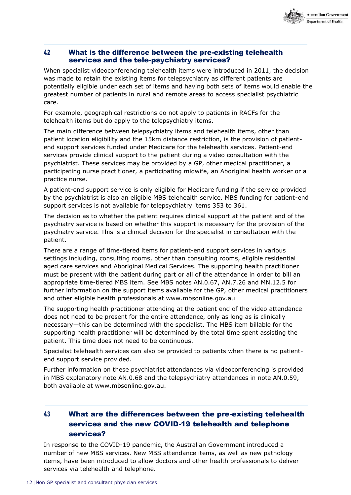

#### <span id="page-13-0"></span>4.2 What is the difference between the pre-existing telehealth services and the tele-psychiatry services?

When specialist videoconferencing telehealth items were introduced in 2011, the decision was made to retain the existing items for telepsychiatry as different patients are potentially eligible under each set of items and having both sets of items would enable the greatest number of patients in rural and remote areas to access specialist psychiatric care.

For example, geographical restrictions do not apply to patients in RACFs for the telehealth items but do apply to the telepsychiatry items.

The main difference between telepsychiatry items and telehealth items, other than patient location eligibility and the 15km distance restriction, is the provision of patientend support services funded under Medicare for the telehealth services. Patient-end services provide clinical support to the patient during a video consultation with the psychiatrist. These services may be provided by a GP, other medical practitioner, a participating nurse practitioner, a participating midwife, an Aboriginal health worker or a practice nurse.

A patient-end support service is only eligible for Medicare funding if the service provided by the psychiatrist is also an eligible MBS telehealth service. MBS funding for patient-end support services is not available for telepsychiatry items 353 to 361.

The decision as to whether the patient requires clinical support at the patient end of the psychiatry service is based on whether this support is necessary for the provision of the psychiatry service. This is a clinical decision for the specialist in consultation with the patient.

There are a range of time-tiered items for patient-end support services in various settings including, consulting rooms, other than consulting rooms, eligible residential aged care services and Aboriginal Medical Services. The supporting health practitioner must be present with the patient during part or all of the attendance in order to bill an appropriate time-tiered MBS item. See MBS notes AN.0.67, AN.7.26 and MN.12.5 for further information on the support items available for the GP, other medical practitioners and other eligible health professionals at [www.mbsonline.gov.au](http://www.mbsonline.gov.au/)

The supporting health practitioner attending at the patient end of the video attendance does not need to be present for the entire attendance, only as long as is clinically necessary—this can be determined with the specialist. The MBS item billable for the supporting health practitioner will be determined by the total time spent assisting the patient. This time does not need to be continuous.

Specialist telehealth services can also be provided to patients when there is no patientend support service provided.

Further information on these psychiatrist attendances via videoconferencing is provided in MBS explanatory note AN.0.68 and the telepsychiatry attendances in note AN.0.59, both available at [www.mbsonline.gov.au.](http://www.mbsonline.gov.au/)

### <span id="page-13-1"></span>4.3 What are the differences between the pre-existing telehealth services and the new COVID-19 telehealth and telephone services?

In response to the COVID-19 pandemic, the Australian Government introduced a number of new MBS services. New MBS attendance items, as well as new pathology items, have been introduced to allow doctors and other health professionals to deliver services via telehealth and telephone.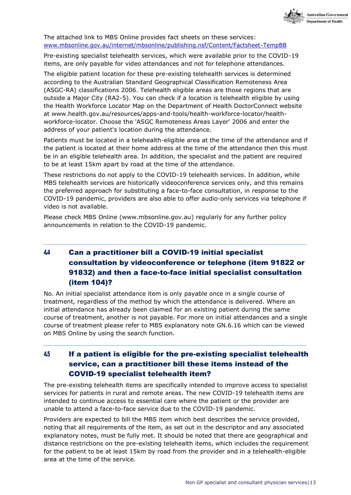

#### The attached link to MBS Online provides fact sheets on these services: [www.mbsonline.gov.au/internet/mbsonline/publishing.nsf/Content/Factsheet-TempBB](http://www.mbsonline.gov.au/internet/mbsonline/publishing.nsf/Content/Factsheet-TempBB)

Pre-existing specialist telehealth services, which were available prior to the COVID-19 items, are only payable for video attendances and not for telephone attendances.

The eligible patient location for these pre-existing telehealth services is determined according to the Australian Standard Geographical Classification Remoteness Area (ASGC-RA) classifications 2006. Telehealth eligible areas are those regions that are outside a Major City (RA2-5). You can check if a location is telehealth eligible by using the Health Workforce Locator Map on the Department of Health DoctorConnect website at [www.health.gov.au/resources/apps-and-tools/health-workforce-locator/health](http://www.health.gov.au/resources/apps-and-tools/health-workforce-locator/health-)workforce-locator. Choose the 'ASGC Remoteness Areas Layer' 2006 and enter the address of your patient's location during the attendance.

Patients must be located in a telehealth-eligible area at the time of the attendance and if the patient is located at their home address at the time of the attendance then this must be in an eligible telehealth area. In addition, the specialist and the patient are required to be at least 15km apart by road at the time of the attendance.

These restrictions do not apply to the COVID-19 telehealth services. In addition, while MBS telehealth services are historically videoconference services only, and this remains the preferred approach for substituting a face-to-face consultation, in response to the COVID-19 pandemic, providers are also able to offer audio-only services via telephone if video is not available.

Please check MBS Online [\(www.mbsonline.gov.au\)](http://www.mbsonline.gov.au/) regularly for any further policy announcements in relation to the COVID-19 pandemic.

### <span id="page-14-0"></span>4.4 Can a practitioner bill a COVID-19 initial specialist consultation by videoconference or telephone (item 91822 or 91832) and then a face-to-face initial specialist consultation (item 104)?

No. An initial specialist attendance item is only payable once in a single course of treatment, regardless of the method by which the attendance is delivered. Where an initial attendance has already been claimed for an existing patient during the same course of treatment, another is not payable. For more on initial attendances and a single course of treatment please refer to MBS explanatory note GN.6.16 which can be viewed on MBS Online by using the search function.

### <span id="page-14-1"></span>4.5 If a patient is eligible for the pre-existing specialist telehealth service, can a practitioner bill these items instead of the COVID-19 specialist telehealth item?

The pre-existing telehealth items are specifically intended to improve access to specialist services for patients in rural and remote areas. The new COVID-19 telehealth items are intended to continue access to essential care where the patient or the provider are unable to attend a face-to-face service due to the COVID-19 pandemic.

Providers are expected to bill the MBS item which best describes the service provided, noting that all requirements of the item, as set out in the descriptor and any associated explanatory notes, must be fully met. It should be noted that there are geographical and distance restrictions on the pre-existing telehealth items, which includes the requirement for the patient to be at least 15km by road from the provider and in a telehealth-eligible area at the time of the service.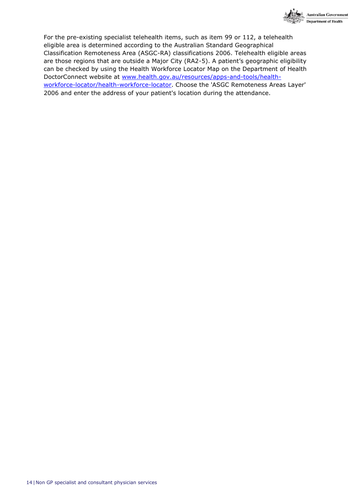

For the pre-existing specialist telehealth items, such as item 99 or 112, a telehealth eligible area is determined according to the Australian Standard Geographical Classification Remoteness Area (ASGC-RA) classifications 2006. Telehealth eligible areas are those regions that are outside a Major City (RA2-5). A patient's geographic eligibility can be checked by using the Health Workforce Locator Map on the Department of Health DoctorConnect website at [www.health.gov.au/resources/apps-and-tools/health](http://www.health.gov.au/resources/apps-and-tools/health-workforce-locator/health-workforce-locator)[workforce-locator/health-workforce-locator.](http://www.health.gov.au/resources/apps-and-tools/health-workforce-locator/health-workforce-locator) Choose the 'ASGC Remoteness Areas Layer' 2006 and enter the address of your patient's location during the attendance.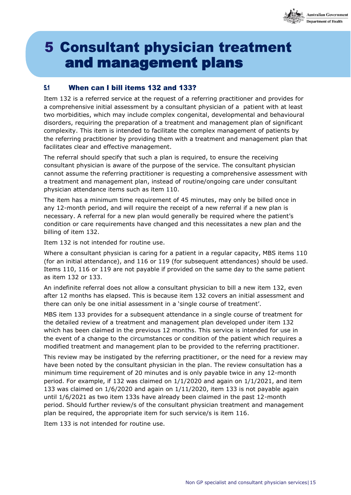

## **5 Consultant physician treatment** and management plans

#### <span id="page-16-0"></span>5.1 When can I bill items 132 and 133?

Item 132 is a referred service at the request of a referring practitioner and provides for a comprehensive initial assessment by a consultant physician of a patient with at least two morbidities, which may include complex congenital, developmental and behavioural disorders, requiring the preparation of a treatment and management plan of significant complexity. This item is intended to facilitate the complex management of patients by the referring practitioner by providing them with a treatment and management plan that facilitates clear and effective management.

The referral should specify that such a plan is required, to ensure the receiving consultant physician is aware of the purpose of the service. The consultant physician cannot assume the referring practitioner is requesting a comprehensive assessment with a treatment and management plan, instead of routine/ongoing care under consultant physician attendance items such as item 110.

The item has a minimum time requirement of 45 minutes, may only be billed once in any 12-month period, and will require the receipt of a new referral if a new plan is necessary. A referral for a new plan would generally be required where the patient's condition or care requirements have changed and this necessitates a new plan and the billing of item 132.

Item 132 is not intended for routine use.

Where a consultant physician is caring for a patient in a regular capacity, MBS items 110 (for an initial attendance), and 116 or 119 (for subsequent attendances) should be used. Items 110, 116 or 119 are not payable if provided on the same day to the same patient as item 132 or 133.

An indefinite referral does not allow a consultant physician to bill a new item 132, even after 12 months has elapsed. This is because item 132 covers an initial assessment and there can only be one initial assessment in a 'single course of treatment'.

MBS item 133 provides for a subsequent attendance in a single course of treatment for the detailed review of a treatment and management plan developed under item 132 which has been claimed in the previous 12 months. This service is intended for use in the event of a change to the circumstances or condition of the patient which requires a modified treatment and management plan to be provided to the referring practitioner.

This review may be instigated by the referring practitioner, or the need for a review may have been noted by the consultant physician in the plan. The review consultation has a minimum time requirement of 20 minutes and is only payable twice in any 12-month period. For example, if 132 was claimed on 1/1/2020 and again on 1/1/2021, and item 133 was claimed on 1/6/2020 and again on 1/11/2020, item 133 is not payable again until 1/6/2021 as two item 133s have already been claimed in the past 12-month period. Should further review/s of the consultant physician treatment and management plan be required, the appropriate item for such service/s is item 116.

<span id="page-16-1"></span>Item 133 is not intended for routine use.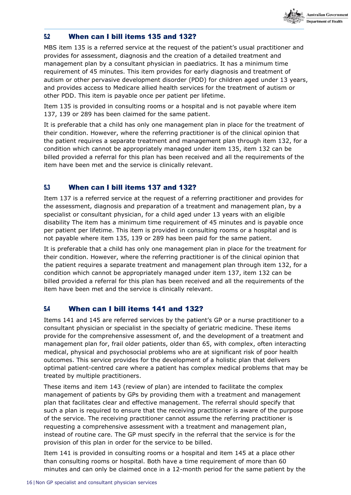

#### <span id="page-17-0"></span>5.2 When can I bill items 135 and 132?

MBS item 135 is a referred service at the request of the patient's usual practitioner and provides for assessment, diagnosis and the creation of a detailed treatment and management plan by a consultant physician in paediatrics. It has a minimum time requirement of 45 minutes. This item provides for early diagnosis and treatment of autism or other pervasive development disorder (PDD) for children aged under 13 years, and provides access to Medicare allied health services for the treatment of autism or other PDD. This item is payable once per patient per lifetime.

Item 135 is provided in consulting rooms or a hospital and is not payable where item 137, 139 or 289 has been claimed for the same patient.

It is preferable that a child has only one management plan in place for the treatment of their condition. However, where the referring practitioner is of the clinical opinion that the patient requires a separate treatment and management plan through item 132, for a condition which cannot be appropriately managed under item 135, item 132 can be billed provided a referral for this plan has been received and all the requirements of the item have been met and the service is clinically relevant.

#### 5.3 When can I bill items 137 and 132?

Item 137 is a referred service at the request of a referring practitioner and provides for the assessment, diagnosis and preparation of a treatment and management plan, by a specialist or consultant physician, for a child aged under 13 years with an eligible disability The item has a minimum time requirement of 45 minutes and is payable once per patient per lifetime. This item is provided in consulting rooms or a hospital and is not payable where item 135, 139 or 289 has been paid for the same patient.

It is preferable that a child has only one management plan in place for the treatment for their condition. However, where the referring practitioner is of the clinical opinion that the patient requires a separate treatment and management plan through item 132, for a condition which cannot be appropriately managed under item 137, item 132 can be billed provided a referral for this plan has been received and all the requirements of the item have been met and the service is clinically relevant.

#### <span id="page-17-1"></span>5.4 When can I bill items 141 and 132?

Items 141 and 145 are referred services by the patient's GP or a nurse practitioner to a consultant physician or specialist in the specialty of geriatric medicine. These items provide for the comprehensive assessment of, and the development of a treatment and management plan for, frail older patients, older than 65, with complex, often interacting medical, physical and psychosocial problems who are at significant risk of poor health outcomes. This service provides for the development of a holistic plan that delivers optimal patient-centred care where a patient has complex medical problems that may be treated by multiple practitioners.

These items and item 143 (review of plan) are intended to facilitate the complex management of patients by GPs by providing them with a treatment and management plan that facilitates clear and effective management. The referral should specify that such a plan is required to ensure that the receiving practitioner is aware of the purpose of the service. The receiving practitioner cannot assume the referring practitioner is requesting a comprehensive assessment with a treatment and management plan, instead of routine care. The GP must specify in the referral that the service is for the provision of this plan in order for the service to be billed.

Item 141 is provided in consulting rooms or a hospital and item 145 at a place other than consulting rooms or hospital. Both have a time requirement of more than 60 minutes and can only be claimed once in a 12-month period for the same patient by the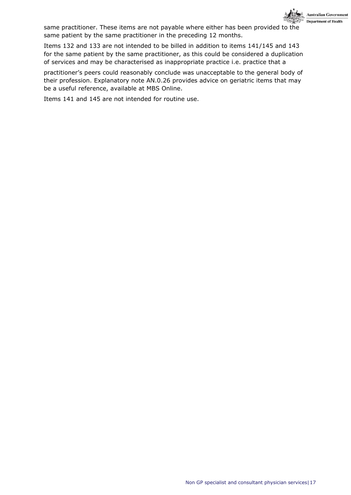

same practitioner. These items are not payable where either has been provided to the same patient by the same practitioner in the preceding 12 months.

Items 132 and 133 are not intended to be billed in addition to items 141/145 and 143 for the same patient by the same practitioner, as this could be considered a duplication of services and may be characterised as inappropriate practice i.e. practice that a

practitioner's peers could reasonably conclude was unacceptable to the general body of their profession. Explanatory note AN.0.26 provides advice on geriatric items that may be a useful reference, available at MBS Online.

Items 141 and 145 are not intended for routine use.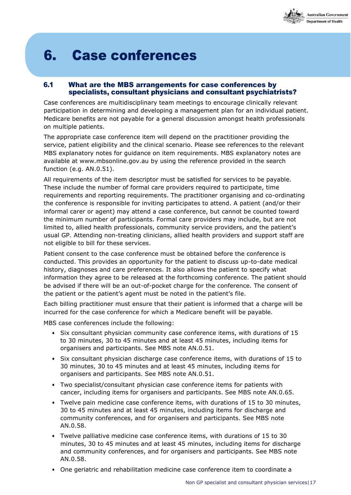

## **6. Case conferences**

#### <span id="page-19-1"></span><span id="page-19-0"></span>6.1 What are the MBS arrangements for case conferences by specialists, consultant physicians and consultant psychiatrists?

Case conferences are multidisciplinary team meetings to encourage clinically relevant participation in determining and developing a management plan for an individual patient. Medicare benefits are not payable for a general discussion amongst health professionals on multiple patients.

The appropriate case conference item will depend on the practitioner providing the service, patient eligibility and the clinical scenario. Please see references to the relevant MBS explanatory notes for guidance on item requirements. MBS explanatory notes are available at [www.mbsonline.gov.au b](http://www.mbsonline.gov.au/)y using the reference provided in the search function (e.g. AN.0.51).

All requirements of the item descriptor must be satisfied for services to be payable. These include the number of formal care providers required to participate, time requirements and reporting requirements. The practitioner organising and co-ordinating the conference is responsible for inviting participates to attend. A patient (and/or their informal carer or agent) may attend a case conference, but cannot be counted toward the minimum number of participants. Formal care providers may include, but are not limited to, allied health professionals, community service providers, and the patient's usual GP. Attending non-treating clinicians, allied health providers and support staff are not eligible to bill for these services.

Patient consent to the case conference must be obtained before the conference is conducted. This provides an opportunity for the patient to discuss up-to-date medical history, diagnoses and care preferences. It also allows the patient to specify what information they agree to be released at the forthcoming conference. The patient should be advised if there will be an out-of-pocket charge for the conference. The consent of the patient or the patient's agent must be noted in the patient's file.

Each billing practitioner must ensure that their patient is informed that a charge will be incurred for the case conference for which a Medicare benefit will be payable.

MBS case conferences include the following:

- Six consultant physician community case conference items, with durations of 15 to 30 minutes, 30 to 45 minutes and at least 45 minutes, including items for organisers and participants. See MBS note AN.0.51.
- Six consultant physician discharge case conference items, with durations of 15 to 30 minutes, 30 to 45 minutes and at least 45 minutes, including items for organisers and participants. See MBS note AN.0.51.
- Two specialist/consultant physician case conference items for patients with cancer, including items for organisers and participants. See MBS note AN.0.65.
- Twelve pain medicine case conference items, with durations of 15 to 30 minutes, 30 to 45 minutes and at least 45 minutes, including items for discharge and community conferences, and for organisers and participants. See MBS note AN.0.58.
- Twelve palliative medicine case conference items, with durations of 15 to 30 minutes, 30 to 45 minutes and at least 45 minutes, including items for discharge and community conferences, and for organisers and participants. See MBS note AN.0.58.
- One geriatric and rehabilitation medicine case conference item to coordinate a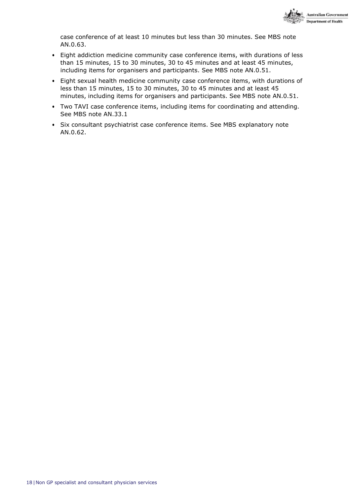

case conference of at least 10 minutes but less than 30 minutes. See MBS note AN.0.63.

- Eight addiction medicine community case conference items, with durations of less than 15 minutes, 15 to 30 minutes, 30 to 45 minutes and at least 45 minutes, including items for organisers and participants. See MBS note AN.0.51.
- Eight sexual health medicine community case conference items, with durations of less than 15 minutes, 15 to 30 minutes, 30 to 45 minutes and at least 45 minutes, including items for organisers and participants. See MBS note AN.0.51.
- Two TAVI case conference items, including items for coordinating and attending. See MBS note AN.33.1
- Six consultant psychiatrist case conference items. See MBS explanatory note AN.0.62.